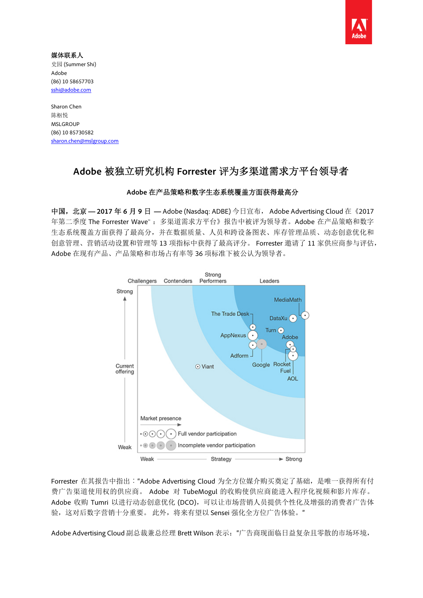

媒体联系人 史园 (Summer Shi) Adobe (86) 10 58657703 sshi@adobe.com

Sharon Chen 陈枢悦 MSLGROUP (86) 10 85730582 sharon.chen@mslgroup.com

# **Adobe** 被独立研究机构 **Forrester** 评为多渠道需求方平台领导者

## **Adobe** 在产品策略和数字生态系统覆盖方面获得最高分

中国,北京 **— 2017** 年 **6** 月 **9** 日 **—** Adobe (Nasdaq: ADBE) 今日宣布, Adobe Advertising Cloud 在《2017 年第二季度 The Forrester Wave™ :多渠道需求方平台》报告中被评为领导者。Adobe 在产品策略和数字 生态系统覆盖方面获得了最高分,并在数据质量、人员和跨设备图表、库存管理品质、动态创意优化和 创意管理、营销活动设置和管理等 13 项指标中获得了最高评分。 Forrester 邀请了 11 家供应商参与评估, Adobe 在现有产品、产品策略和市场占有率等 36 项标准下被公认为领导者。



Forrester 在其报告中指出:"Adobe Advertising Cloud 为全方位媒介购买奠定了基础, 是唯一获得所有付 费广告渠道使用权的供应商。 Adobe 对 TubeMogul 的收购使供应商能进入程序化视频和影片库存。 Adobe 收购 Tumri 以进行动态创意优化 (DCO), 可以让市场营销人员提供个性化及增强的消费者广告体 验,这对后数字营销十分重要。 此外,将来有望以 Sensei 强化全方位广告体验。"

Adobe Advertising Cloud 副总裁兼总经理 Brett Wilson 表示:"广告商现面临日益复杂且零散的市场环境,